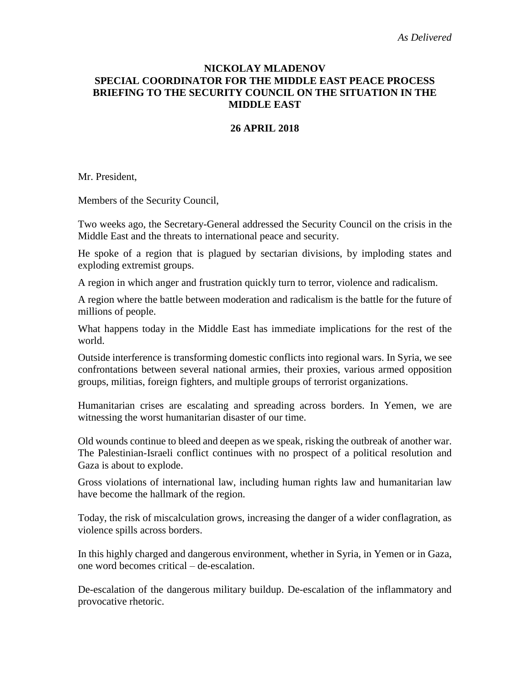# **NICKOLAY MLADENOV SPECIAL COORDINATOR FOR THE MIDDLE EAST PEACE PROCESS BRIEFING TO THE SECURITY COUNCIL ON THE SITUATION IN THE MIDDLE EAST**

### **26 APRIL 2018**

Mr. President,

Members of the Security Council,

Two weeks ago, the Secretary-General addressed the Security Council on the crisis in the Middle East and the threats to international peace and security.

He spoke of a region that is plagued by sectarian divisions, by imploding states and exploding extremist groups.

A region in which anger and frustration quickly turn to terror, violence and radicalism.

A region where the battle between moderation and radicalism is the battle for the future of millions of people.

What happens today in the Middle East has immediate implications for the rest of the world.

Outside interference is transforming domestic conflicts into regional wars. In Syria, we see confrontations between several national armies, their proxies, various armed opposition groups, militias, foreign fighters, and multiple groups of terrorist organizations.

Humanitarian crises are escalating and spreading across borders. In Yemen, we are witnessing the worst humanitarian disaster of our time.

Old wounds continue to bleed and deepen as we speak, risking the outbreak of another war. The Palestinian-Israeli conflict continues with no prospect of a political resolution and Gaza is about to explode.

Gross violations of international law, including human rights law and humanitarian law have become the hallmark of the region.

Today, the risk of miscalculation grows, increasing the danger of a wider conflagration, as violence spills across borders.

In this highly charged and dangerous environment, whether in Syria, in Yemen or in Gaza, one word becomes critical – de-escalation.

De-escalation of the dangerous military buildup. De-escalation of the inflammatory and provocative rhetoric.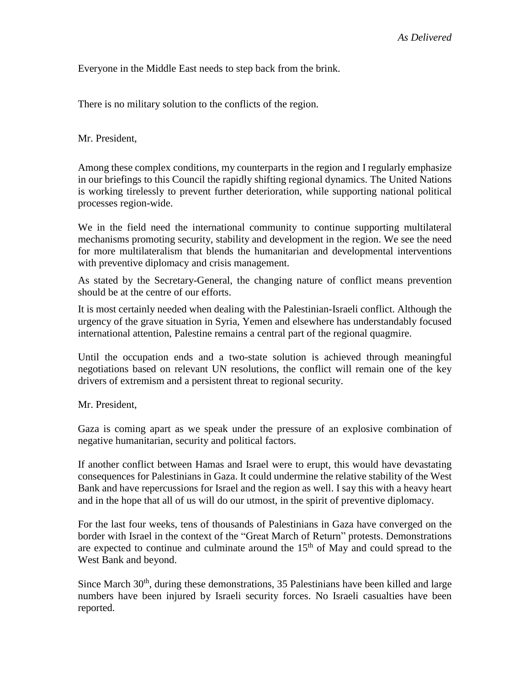Everyone in the Middle East needs to step back from the brink.

There is no military solution to the conflicts of the region.

Mr. President,

Among these complex conditions, my counterparts in the region and I regularly emphasize in our briefings to this Council the rapidly shifting regional dynamics. The United Nations is working tirelessly to prevent further deterioration, while supporting national political processes region-wide.

We in the field need the international community to continue supporting multilateral mechanisms promoting security, stability and development in the region. We see the need for more multilateralism that blends the humanitarian and developmental interventions with preventive diplomacy and crisis management.

As stated by the Secretary-General, the changing nature of conflict means prevention should be at the centre of our efforts.

It is most certainly needed when dealing with the Palestinian-Israeli conflict. Although the urgency of the grave situation in Syria, Yemen and elsewhere has understandably focused international attention, Palestine remains a central part of the regional quagmire.

Until the occupation ends and a two-state solution is achieved through meaningful negotiations based on relevant UN resolutions, the conflict will remain one of the key drivers of extremism and a persistent threat to regional security.

Mr. President,

Gaza is coming apart as we speak under the pressure of an explosive combination of negative humanitarian, security and political factors.

If another conflict between Hamas and Israel were to erupt, this would have devastating consequences for Palestinians in Gaza. It could undermine the relative stability of the West Bank and have repercussions for Israel and the region as well. I say this with a heavy heart and in the hope that all of us will do our utmost, in the spirit of preventive diplomacy.

For the last four weeks, tens of thousands of Palestinians in Gaza have converged on the border with Israel in the context of the "Great March of Return" protests. Demonstrations are expected to continue and culminate around the  $15<sup>th</sup>$  of May and could spread to the West Bank and beyond.

Since March 30<sup>th</sup>, during these demonstrations, 35 Palestinians have been killed and large numbers have been injured by Israeli security forces. No Israeli casualties have been reported.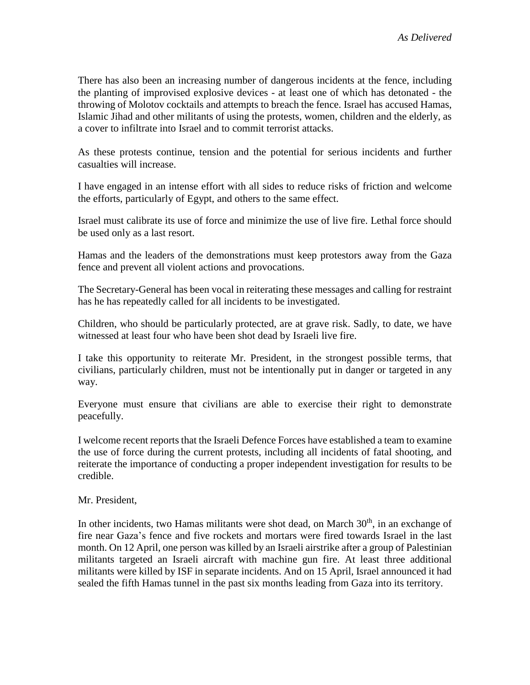There has also been an increasing number of dangerous incidents at the fence, including the planting of improvised explosive devices - at least one of which has detonated - the throwing of Molotov cocktails and attempts to breach the fence. Israel has accused Hamas, Islamic Jihad and other militants of using the protests, women, children and the elderly, as a cover to infiltrate into Israel and to commit terrorist attacks.

As these protests continue, tension and the potential for serious incidents and further casualties will increase.

I have engaged in an intense effort with all sides to reduce risks of friction and welcome the efforts, particularly of Egypt, and others to the same effect.

Israel must calibrate its use of force and minimize the use of live fire. Lethal force should be used only as a last resort.

Hamas and the leaders of the demonstrations must keep protestors away from the Gaza fence and prevent all violent actions and provocations.

The Secretary-General has been vocal in reiterating these messages and calling for restraint has he has repeatedly called for all incidents to be investigated.

Children, who should be particularly protected, are at grave risk. Sadly, to date, we have witnessed at least four who have been shot dead by Israeli live fire.

I take this opportunity to reiterate Mr. President, in the strongest possible terms, that civilians, particularly children, must not be intentionally put in danger or targeted in any way.

Everyone must ensure that civilians are able to exercise their right to demonstrate peacefully.

I welcome recent reports that the Israeli Defence Forces have established a team to examine the use of force during the current protests, including all incidents of fatal shooting, and reiterate the importance of conducting a proper independent investigation for results to be credible.

# Mr. President,

In other incidents, two Hamas militants were shot dead, on March  $30<sup>th</sup>$ , in an exchange of fire near Gaza's fence and five rockets and mortars were fired towards Israel in the last month. On 12 April, one person was killed by an Israeli airstrike after a group of Palestinian militants targeted an Israeli aircraft with machine gun fire. At least three additional militants were killed by ISF in separate incidents. And on 15 April, Israel announced it had sealed the fifth Hamas tunnel in the past six months leading from Gaza into its territory.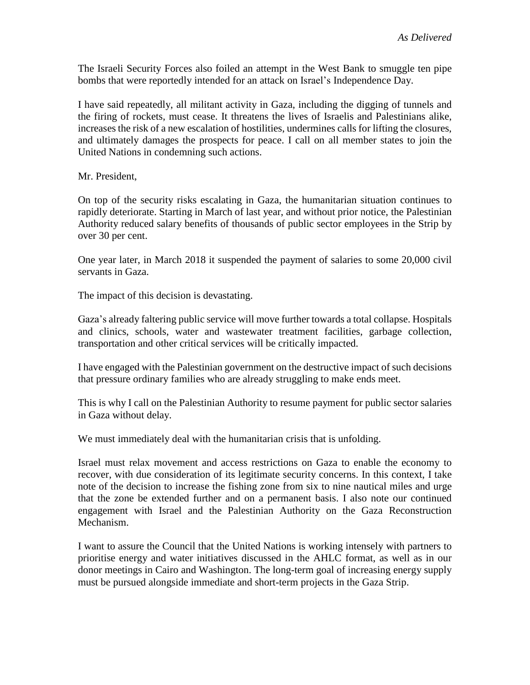The Israeli Security Forces also foiled an attempt in the West Bank to smuggle ten pipe bombs that were reportedly intended for an attack on Israel's Independence Day.

I have said repeatedly, all militant activity in Gaza, including the digging of tunnels and the firing of rockets, must cease. It threatens the lives of Israelis and Palestinians alike, increases the risk of a new escalation of hostilities, undermines calls for lifting the closures, and ultimately damages the prospects for peace. I call on all member states to join the United Nations in condemning such actions.

Mr. President,

On top of the security risks escalating in Gaza, the humanitarian situation continues to rapidly deteriorate. Starting in March of last year, and without prior notice, the Palestinian Authority reduced salary benefits of thousands of public sector employees in the Strip by over 30 per cent.

One year later, in March 2018 it suspended the payment of salaries to some 20,000 civil servants in Gaza.

The impact of this decision is devastating.

Gaza's already faltering public service will move further towards a total collapse. Hospitals and clinics, schools, water and wastewater treatment facilities, garbage collection, transportation and other critical services will be critically impacted.

I have engaged with the Palestinian government on the destructive impact of such decisions that pressure ordinary families who are already struggling to make ends meet.

This is why I call on the Palestinian Authority to resume payment for public sector salaries in Gaza without delay.

We must immediately deal with the humanitarian crisis that is unfolding.

Israel must relax movement and access restrictions on Gaza to enable the economy to recover, with due consideration of its legitimate security concerns. In this context, I take note of the decision to increase the fishing zone from six to nine nautical miles and urge that the zone be extended further and on a permanent basis. I also note our continued engagement with Israel and the Palestinian Authority on the Gaza Reconstruction Mechanism.

I want to assure the Council that the United Nations is working intensely with partners to prioritise energy and water initiatives discussed in the AHLC format, as well as in our donor meetings in Cairo and Washington. The long-term goal of increasing energy supply must be pursued alongside immediate and short-term projects in the Gaza Strip.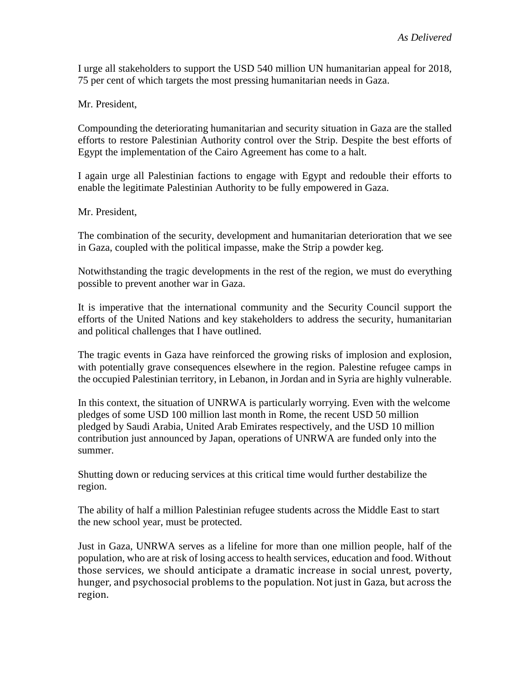I urge all stakeholders to support the USD 540 million UN humanitarian appeal for 2018, 75 per cent of which targets the most pressing humanitarian needs in Gaza.

Mr. President,

Compounding the deteriorating humanitarian and security situation in Gaza are the stalled efforts to restore Palestinian Authority control over the Strip. Despite the best efforts of Egypt the implementation of the Cairo Agreement has come to a halt.

I again urge all Palestinian factions to engage with Egypt and redouble their efforts to enable the legitimate Palestinian Authority to be fully empowered in Gaza.

#### Mr. President,

The combination of the security, development and humanitarian deterioration that we see in Gaza, coupled with the political impasse, make the Strip a powder keg.

Notwithstanding the tragic developments in the rest of the region, we must do everything possible to prevent another war in Gaza.

It is imperative that the international community and the Security Council support the efforts of the United Nations and key stakeholders to address the security, humanitarian and political challenges that I have outlined.

The tragic events in Gaza have reinforced the growing risks of implosion and explosion, with potentially grave consequences elsewhere in the region. Palestine refugee camps in the occupied Palestinian territory, in Lebanon, in Jordan and in Syria are highly vulnerable.

In this context, the situation of UNRWA is particularly worrying. Even with the welcome pledges of some USD 100 million last month in Rome, the recent USD 50 million pledged by Saudi Arabia, United Arab Emirates respectively, and the USD 10 million contribution just announced by Japan, operations of UNRWA are funded only into the summer.

Shutting down or reducing services at this critical time would further destabilize the region.

The ability of half a million Palestinian refugee students across the Middle East to start the new school year, must be protected.

Just in Gaza, UNRWA serves as a lifeline for more than one million people, half of the population, who are at risk of losing access to health services, education and food. Without those services, we should anticipate a dramatic increase in social unrest, poverty, hunger, and psychosocial problems to the population. Not just in Gaza, but across the region.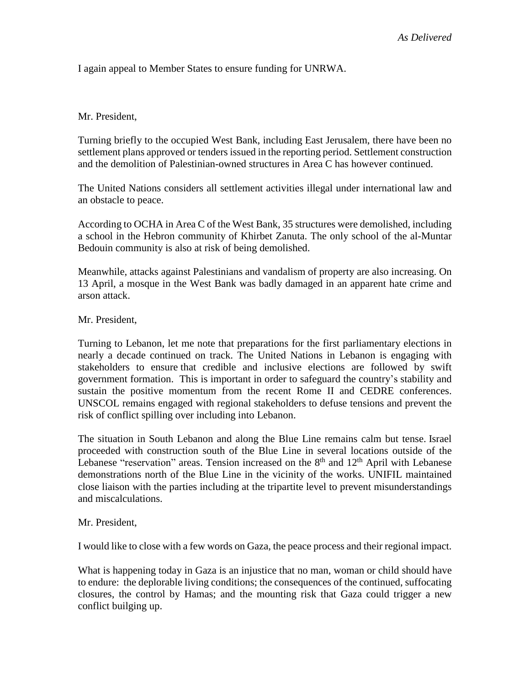I again appeal to Member States to ensure funding for UNRWA.

### Mr. President,

Turning briefly to the occupied West Bank, including East Jerusalem, there have been no settlement plans approved or tenders issued in the reporting period. Settlement construction and the demolition of Palestinian-owned structures in Area C has however continued.

The United Nations considers all settlement activities illegal under international law and an obstacle to peace.

According to OCHA in Area C of the West Bank, 35 structures were demolished, including a school in the Hebron community of Khirbet Zanuta. The only school of the al-Muntar Bedouin community is also at risk of being demolished.

Meanwhile, attacks against Palestinians and vandalism of property are also increasing. On 13 April, a mosque in the West Bank was badly damaged in an apparent hate crime and arson attack.

Mr. President,

Turning to Lebanon, let me note that preparations for the first parliamentary elections in nearly a decade continued on track. The United Nations in Lebanon is engaging with stakeholders to ensure that credible and inclusive elections are followed by swift government formation. This is important in order to safeguard the country's stability and sustain the positive momentum from the recent Rome II and CEDRE conferences. UNSCOL remains engaged with regional stakeholders to defuse tensions and prevent the risk of conflict spilling over including into Lebanon.

The situation in South Lebanon and along the Blue Line remains calm but tense. Israel proceeded with construction south of the Blue Line in several locations outside of the Lebanese "reservation" areas. Tension increased on the  $8<sup>th</sup>$  and  $12<sup>th</sup>$  April with Lebanese demonstrations north of the Blue Line in the vicinity of the works. UNIFIL maintained close liaison with the parties including at the tripartite level to prevent misunderstandings and miscalculations.

#### Mr. President,

I would like to close with a few words on Gaza, the peace process and their regional impact.

What is happening today in Gaza is an injustice that no man, woman or child should have to endure: the deplorable living conditions; the consequences of the continued, suffocating closures, the control by Hamas; and the mounting risk that Gaza could trigger a new conflict builging up.